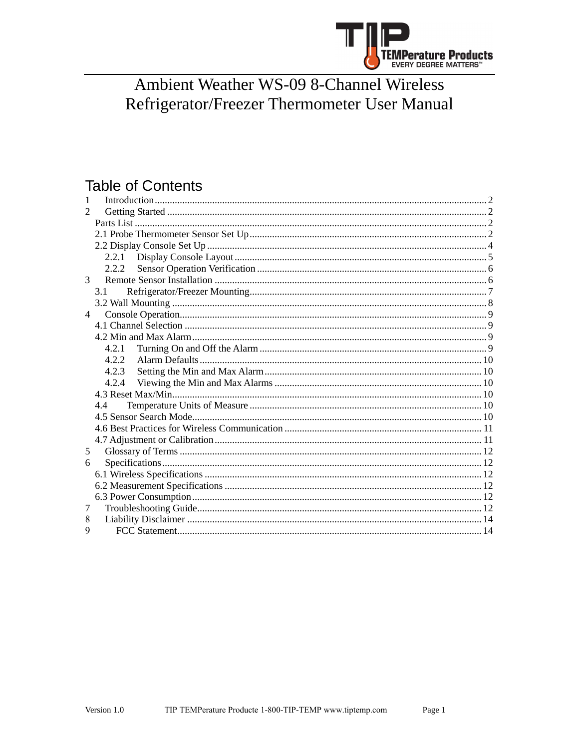

# **Ambient Weather WS-09 8-Channel Wireless** Refrigerator/Freezer Thermometer User Manual

# **Table of Contents**

| 1                           |       |  |  |  |
|-----------------------------|-------|--|--|--|
| $\mathcal{D}_{\mathcal{L}}$ |       |  |  |  |
|                             |       |  |  |  |
|                             |       |  |  |  |
|                             |       |  |  |  |
|                             | 2.2.1 |  |  |  |
|                             | 2.2.2 |  |  |  |
| 3                           |       |  |  |  |
|                             | 3.1   |  |  |  |
|                             |       |  |  |  |
| $\overline{4}$              |       |  |  |  |
|                             |       |  |  |  |
|                             |       |  |  |  |
|                             | 4.2.1 |  |  |  |
|                             | 4.2.2 |  |  |  |
|                             | 4.2.3 |  |  |  |
|                             | 4.2.4 |  |  |  |
|                             |       |  |  |  |
|                             | 4.4   |  |  |  |
|                             |       |  |  |  |
|                             |       |  |  |  |
|                             |       |  |  |  |
| 5                           |       |  |  |  |
| 6                           |       |  |  |  |
|                             |       |  |  |  |
|                             |       |  |  |  |
|                             |       |  |  |  |
| 7                           |       |  |  |  |
| 8                           |       |  |  |  |
| $\mathbf Q$                 |       |  |  |  |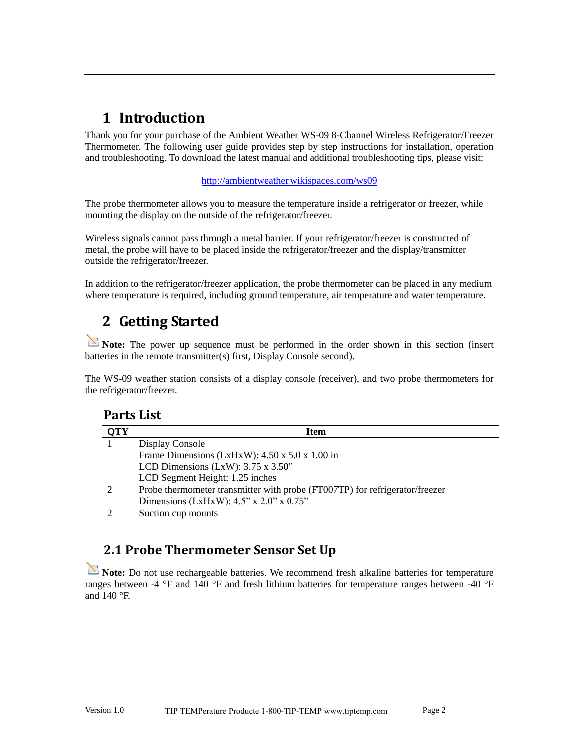# <span id="page-1-0"></span>**1 Introduction**

Thank you for your purchase of the Ambient Weather WS-09 8-Channel Wireless Refrigerator/Freezer Thermometer. The following user guide provides step by step instructions for installation, operation and troubleshooting. To download the latest manual and additional troubleshooting tips, please visit:

#### <http://ambientweather.wikispaces.com/ws09>

The probe thermometer allows you to measure the temperature inside a refrigerator or freezer, while mounting the display on the outside of the refrigerator/freezer.

Wireless signals cannot pass through a metal barrier. If your refrigerator/freezer is constructed of metal, the probe will have to be placed inside the refrigerator/freezer and the display/transmitter outside the refrigerator/freezer.

<span id="page-1-1"></span>In addition to the refrigerator/freezer application, the probe thermometer can be placed in any medium where temperature is required, including ground temperature, air temperature and water temperature.

# **2 Getting Started**

**Note:** The power up sequence must be performed in the order shown in this section (insert batteries in the remote transmitter(s) first, Display Console second).

<span id="page-1-2"></span>The WS-09 weather station consists of a display console (receiver), and two probe thermometers for the refrigerator/freezer.

#### **Parts List**

| TY | Item                                                                        |  |  |
|----|-----------------------------------------------------------------------------|--|--|
|    | Display Console                                                             |  |  |
|    | Frame Dimensions (LxHxW): 4.50 x 5.0 x 1.00 in                              |  |  |
|    | LCD Dimensions (LxW): $3.75 \times 3.50$ "                                  |  |  |
|    | LCD Segment Height: 1.25 inches                                             |  |  |
|    | Probe thermometer transmitter with probe (FT007TP) for refrigerator/freezer |  |  |
|    | Dimensions (LxHxW): $4.5$ " x $2.0$ " x $0.75$ "                            |  |  |
|    | Suction cup mounts                                                          |  |  |

## <span id="page-1-3"></span>**2.1 Probe Thermometer Sensor Set Up**

**Note:** Do not use rechargeable batteries. We recommend fresh alkaline batteries for temperature ranges between -4 °F and 140 °F and fresh lithium batteries for temperature ranges between -40 °F and 140 °F.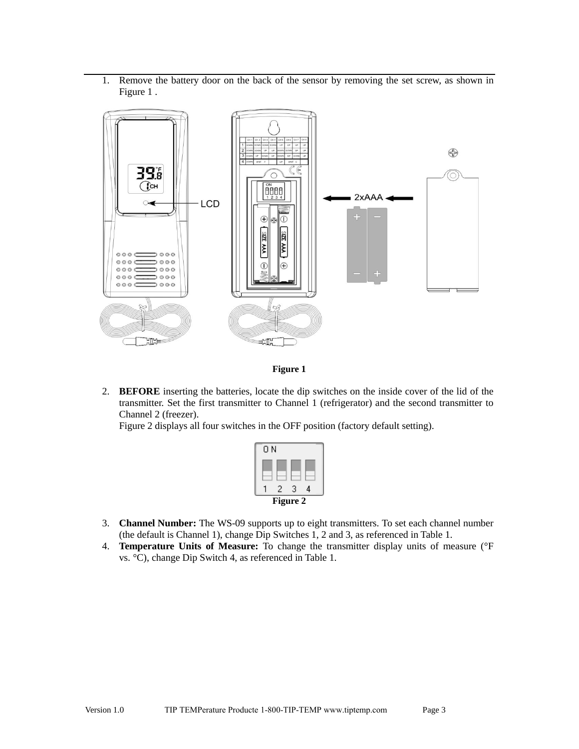1. Remove the battery door on the back of the sensor by removing the set screw, as shown in [Figure 1 .](#page-2-0)



**Figure 1** 

<span id="page-2-0"></span>2. **BEFORE** inserting the batteries, locate the dip switches on the inside cover of the lid of the transmitter. Set the first transmitter to Channel 1 (refrigerator) and the second transmitter to Channel 2 (freezer).

[Figure 2 d](#page-2-1)isplays all four switches in the OFF position (factory default setting).



- <span id="page-2-1"></span>3. **Channel Number:** The WS-09 supports up to eight transmitters. To set each channel number (the default is Channel 1), change Dip Switches 1, 2 and 3, as referenced in [Table 1.](#page-3-1)
- 4. **Temperature Units of Measure:** To change the transmitter display units of measure (°F vs. °C), change Dip Switch 4, as referenced i[n Table 1.](#page-3-1)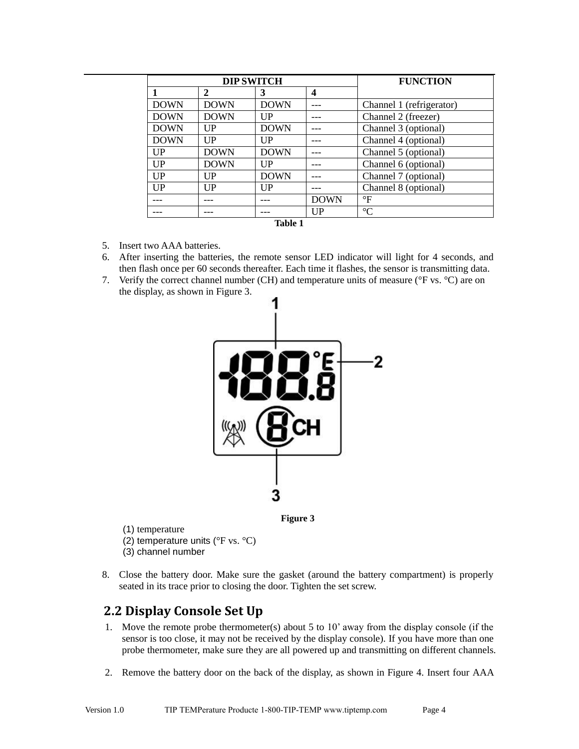| <b>DIP SWITCH</b> |                |                | <b>FUNCTION</b> |                          |
|-------------------|----------------|----------------|-----------------|--------------------------|
| 1                 | $\mathbf{2}$   | 3              | 4               |                          |
| <b>DOWN</b>       | <b>DOWN</b>    | <b>DOWN</b>    |                 | Channel 1 (refrigerator) |
| <b>DOWN</b>       | <b>DOWN</b>    | UP             |                 | Channel 2 (freezer)      |
| <b>DOWN</b>       | $_{\text{UP}}$ | <b>DOWN</b>    |                 | Channel 3 (optional)     |
| <b>DOWN</b>       | $_{\text{UP}}$ | $_{\text{UP}}$ |                 | Channel 4 (optional)     |
| $_{\rm UP}$       | <b>DOWN</b>    | <b>DOWN</b>    |                 | Channel 5 (optional)     |
| $_{\rm UP}$       | <b>DOWN</b>    | $_{\text{UP}}$ |                 | Channel 6 (optional)     |
| $_{\text{UP}}$    | $_{\rm UP}$    | <b>DOWN</b>    |                 | Channel 7 (optional)     |
| $_{\text{UP}}$    | $_{\rm UP}$    | $_{\text{UP}}$ |                 | Channel 8 (optional)     |
|                   |                |                | <b>DOWN</b>     | $\mathsf{P}$             |
|                   |                |                | $_{\text{UP}}$  | $\rm ^{\circ}C$          |
| <b>Table 1</b>    |                |                |                 |                          |

- <span id="page-3-1"></span>5. Insert two AAA batteries.
- 6. After inserting the batteries, the remote sensor LED indicator will light for 4 seconds, and then flash once per 60 seconds thereafter. Each time it flashes, the sensor is transmitting data.
- 7. Verify the correct channel number (CH) and temperature units of measure (°F vs. °C) are on the display, as shown in [Figure 3.](#page-3-2)





<span id="page-3-2"></span>(1) temperature

- (2) temperature units (°F vs. °C)
- (3) channel number
- 8. Close the battery door. Make sure the gasket (around the battery compartment) is properly seated in its trace prior to closing the door. Tighten the set screw.

#### <span id="page-3-0"></span>**2.2 Display Console Set Up**

- 1. Move the remote probe thermometer(s) about 5 to 10' away from the display console (if the sensor is too close, it may not be received by the display console). If you have more than one probe thermometer, make sure they are all powered up and transmitting on different channels.
- 2. Remove the battery door on the back of the display, as shown in [Figure 4.](#page-4-1) Insert four AAA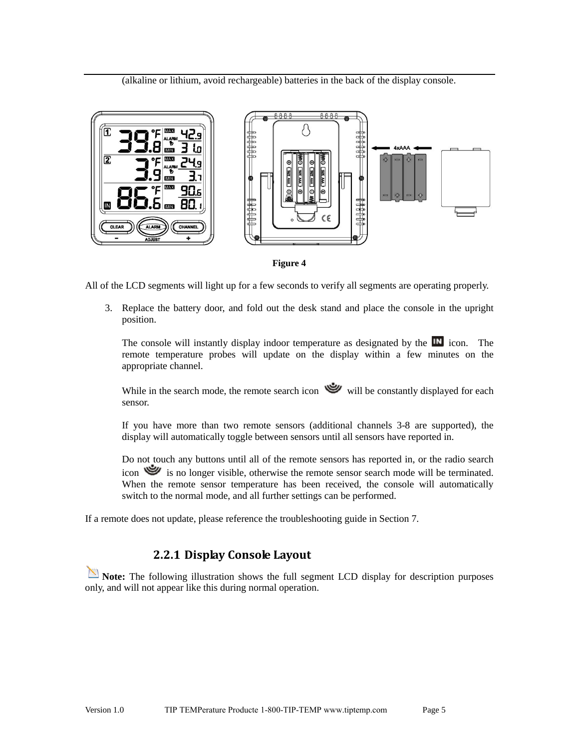(alkaline or lithium, avoid rechargeable) batteries in the back of the display console.





<span id="page-4-1"></span>All of the LCD segments will light up for a few seconds to verify all segments are operating properly.

3. Replace the battery door, and fold out the desk stand and place the console in the upright position.

The console will instantly display indoor temperature as designated by the  $\mathbb{I}^{\mathbb{N}}$  icon. The remote temperature probes will update on the display within a few minutes on the appropriate channel.

While in the search mode, the remote search icon will be constantly displayed for each sensor.

If you have more than two remote sensors (additional channels 3-8 are supported), the display will automatically toggle between sensors until all sensors have reported in.

Do not touch any buttons until all of the remote sensors has reported in, or the radio search icon is no longer visible, otherwise the remote sensor search mode will be terminated. When the remote sensor temperature has been received, the console will automatically switch to the normal mode, and all further settings can be performed.

<span id="page-4-0"></span>If a remote does not update, please reference the troubleshooting guide in Section [7.](#page-11-5)

#### **2.2.1 Display Console Layout**

Note: The following illustration shows the full segment LCD display for description purposes only, and will not appear like this during normal operation.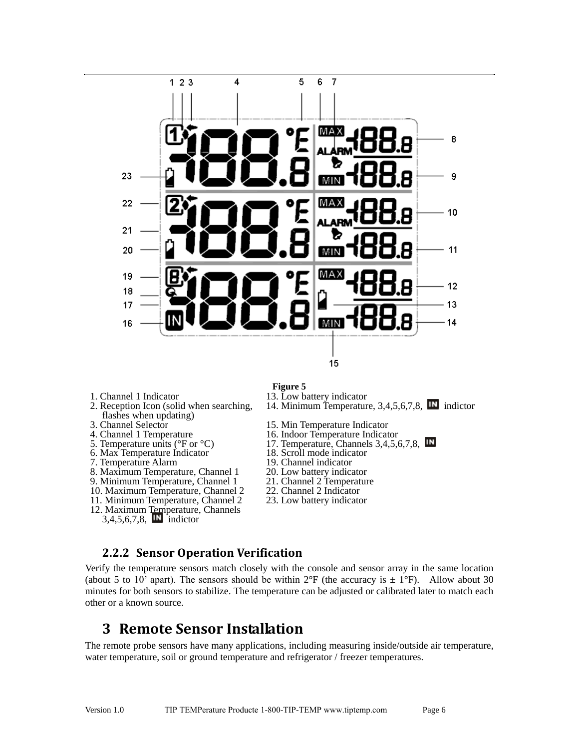

- 1. Channel 1 Indicator
- 2. Reception Icon (solid when searching, flashes when updating)
- 3. Channel Selector
- 4. Channel 1 Temperature
- 5. Temperature units (°F or °C)
- 6. Max Temperature Indicator
- 7. Temperature Alarm
- 8. Maximum Temperature, Channel 1
- 9. Minimum Temperature, Channel 1
- 10. Maximum Temperature, Channel 2
- 11. Minimum Temperature, Channel 2
- 12. Maximum Temperature, Channels
- $3,4,5,6,7,8$ , **IN** indictor
- **Figure 5**
- 13. Low battery indicator
- 14. Minimum Temperature, 3,4,5,6,7,8, **IN** indictor
- 15. Min Temperature Indicator
- 16. Indoor Temperature Indicator
- 17. Temperature, Channels 3,4,5,6,7,8, **IN**
- 18. Scroll mode indicator
- 19. Channel indicator
- 20. Low battery indicator
- 21. Channel 2 Temperature
- 22. Channel 2 Indicator
- 23. Low battery indicator

#### <span id="page-5-0"></span>**2.2.2 Sensor Operation Verification**

Verify the temperature sensors match closely with the console and sensor array in the same location (about 5 to 10' apart). The sensors should be within  $2^{\circ}F$  (the accuracy is  $\pm 1^{\circ}F$ ). Allow about 30 minutes for both sensors to stabilize. The temperature can be adjusted or calibrated later to match each other or a known source.

## <span id="page-5-1"></span>**3 Remote Sensor Installation**

The remote probe sensors have many applications, including measuring inside/outside air temperature, water temperature, soil or ground temperature and refrigerator / freezer temperatures.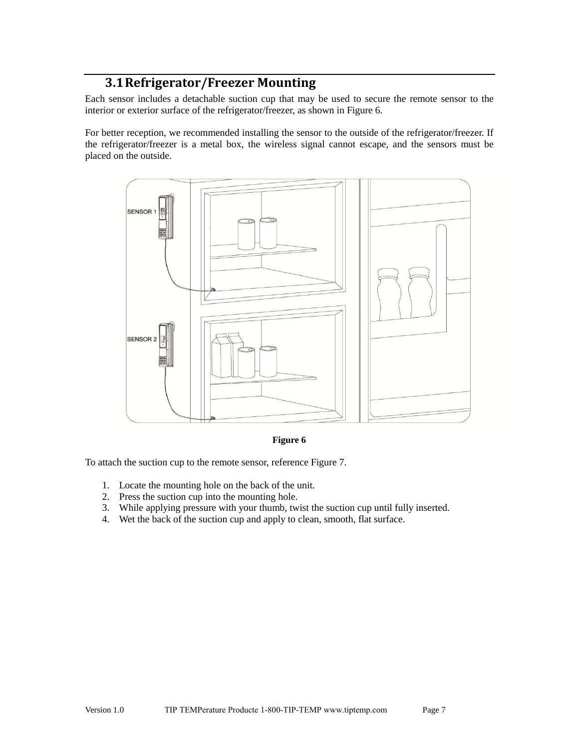### **3.1Refrigerator/Freezer Mounting**

<span id="page-6-0"></span>Each sensor includes a detachable suction cup that may be used to secure the remote sensor to the interior or exterior surface of the refrigerator/freezer, as shown in [Figure 6.](#page-6-1)

For better reception, we recommended installing the sensor to the outside of the refrigerator/freezer. If the refrigerator/freezer is a metal box, the wireless signal cannot escape, and the sensors must be placed on the outside.



**Figure 6** 

<span id="page-6-1"></span>To attach the suction cup to the remote sensor, reference [Figure 7.](#page-7-1)

- 1. Locate the mounting hole on the back of the unit.
- 2. Press the suction cup into the mounting hole.
- 3. While applying pressure with your thumb, twist the suction cup until fully inserted.
- 4. Wet the back of the suction cup and apply to clean, smooth, flat surface.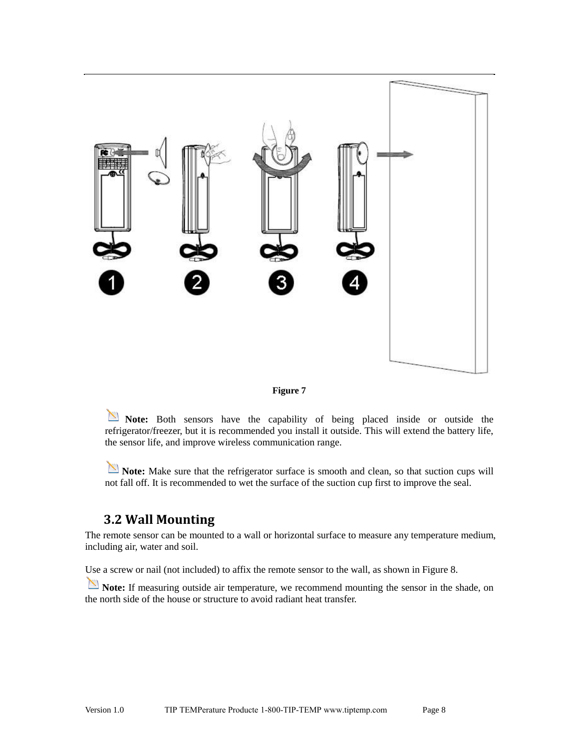



<span id="page-7-1"></span>Note: Both sensors have the capability of being placed inside or outside the refrigerator/freezer, but it is recommended you install it outside. This will extend the battery life, the sensor life, and improve wireless communication range.

**Note:** Make sure that the refrigerator surface is smooth and clean, so that suction cups will not fall off. It is recommended to wet the surface of the suction cup first to improve the seal.

#### <span id="page-7-0"></span>**3.2 Wall Mounting**

The remote sensor can be mounted to a wall or horizontal surface to measure any temperature medium, including air, water and soil.

Use a screw or nail (not included) to affix the remote sensor to the wall, as shown i[n Figure 8.](#page-8-4)

**Note:** If measuring outside air temperature, we recommend mounting the sensor in the shade, on the north side of the house or structure to avoid radiant heat transfer.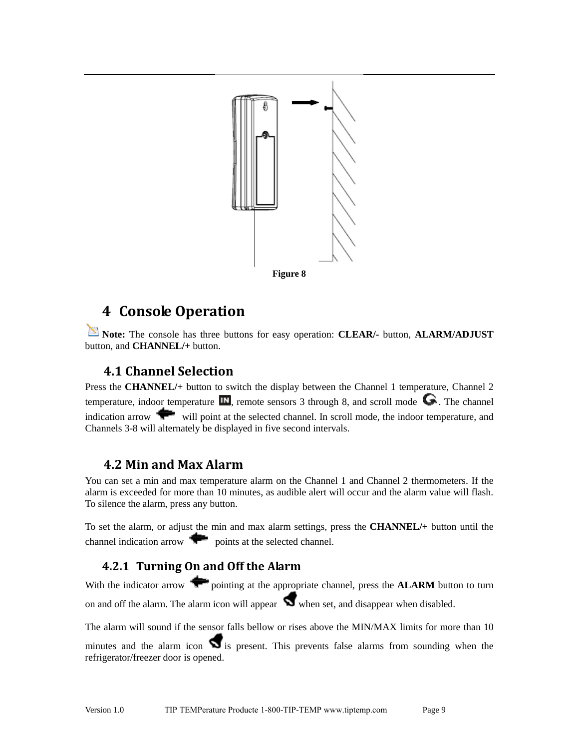

## <span id="page-8-4"></span><span id="page-8-0"></span>**4 Console Operation**

**Note:** The console has three buttons for easy operation: **CLEAR/-** button, **ALARM/ADJUST** button, and **CHANNEL/+** button.

### <span id="page-8-1"></span>**4.1 Channel Selection**

Press the **CHANNEL/+** button to switch the display between the Channel 1 temperature, Channel 2 temperature, indoor temperature  $\blacksquare$ , remote sensors 3 through 8, and scroll mode  $\bigodot$ . The channel indication arrow will point at the selected channel. In scroll mode, the indoor temperature, and Channels 3-8 will alternately be displayed in five second intervals.

### <span id="page-8-2"></span>**4.2 Min and Max Alarm**

You can set a min and max temperature alarm on the Channel 1 and Channel 2 thermometers. If the alarm is exceeded for more than 10 minutes, as audible alert will occur and the alarm value will flash. To silence the alarm, press any button.

To set the alarm, or adjust the min and max alarm settings, press the **CHANNEL/+** button until the channel indication arrow points at the selected channel.

### <span id="page-8-3"></span>**4.2.1 Turning On and Off the Alarm**

With the indicator arrow **the pointing at the appropriate channel, press the ALARM** button to turn on and off the alarm. The alarm icon will appear  $\Box$  when set, and disappear when disabled.

The alarm will sound if the sensor falls bellow or rises above the MIN/MAX limits for more than 10 minutes and the alarm icon  $\Box$  is present. This prevents false alarms from sounding when the refrigerator/freezer door is opened.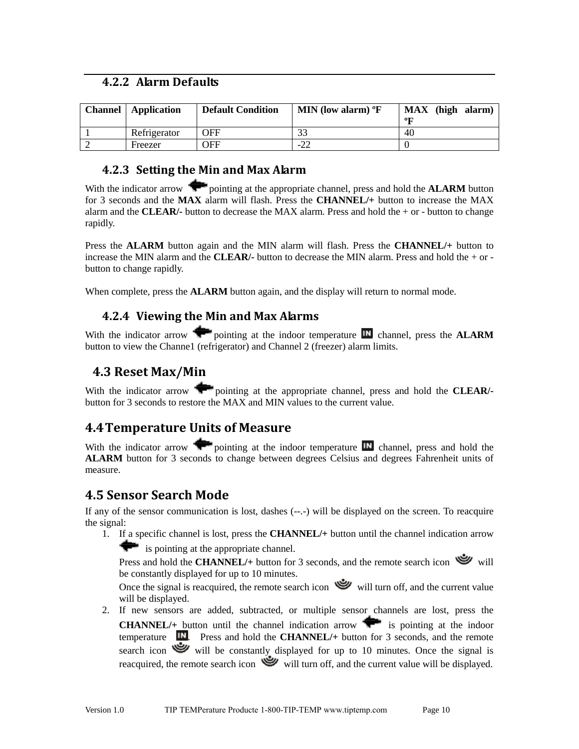#### <span id="page-9-0"></span>**4.2.2 Alarm Defaults**

| <b>Channel</b> | Application  | <b>Default Condition</b> | MIN (low alarm) $\mathrm{P}\mathrm{F}$ | MAX (high alarm)<br>oт |
|----------------|--------------|--------------------------|----------------------------------------|------------------------|
|                | Refrigerator | OFF                      |                                        | 40                     |
|                | Freezer      | OFF                      | -22                                    |                        |

#### <span id="page-9-1"></span>**4.2.3 Setting the Min and Max Alarm**

With the indicator arrow **vector** pointing at the appropriate channel, press and hold the **ALARM** button for 3 seconds and the **MAX** alarm will flash. Press the **CHANNEL/+** button to increase the MAX alarm and the **CLEAR/-** button to decrease the MAX alarm. Press and hold the + or - button to change rapidly.

Press the **ALARM** button again and the MIN alarm will flash. Press the **CHANNEL/+** button to increase the MIN alarm and the **CLEAR**/- button to decrease the MIN alarm. Press and hold the  $+$  or button to change rapidly.

<span id="page-9-2"></span>When complete, press the **ALARM** button again, and the display will return to normal mode.

#### **4.2.4 Viewing the Min and Max Alarms**

With the indicator arrow **pointing at the indoor temperature**  $\blacksquare$  channel, press the **ALARM** button to view the Channe1 (refrigerator) and Channel 2 (freezer) alarm limits.

### <span id="page-9-3"></span>**4.3 Reset Max/Min**

With the indicator arrow **pointing at the appropriate channel**, press and hold the **CLEAR**/button for 3 seconds to restore the MAX and MIN values to the current value.

## <span id="page-9-4"></span>**4.4Temperature Units of Measure**

With the indicator arrow pointing at the indoor temperature  $\mathbb{I}$  channel, press and hold the **ALARM** button for 3 seconds to change between degrees Celsius and degrees Fahrenheit units of measure.

## <span id="page-9-5"></span>**4.5 Sensor Search Mode**

If any of the sensor communication is lost, dashes (--.-) will be displayed on the screen. To reacquire the signal:

1. If a specific channel is lost, press the **CHANNEL/+** button until the channel indication arrow is pointing at the appropriate channel.

Press and hold the **CHANNEL**/+ button for 3 seconds, and the remote search icon will be constantly displayed for up to 10 minutes.

Once the signal is reacquired, the remote search icon will turn off, and the current value will be displayed.

2. If new sensors are added, subtracted, or multiple sensor channels are lost, press the **CHANNEL**/+ button until the channel indication arrow  $\bullet$  is pointing at the indoor temperature **IN**. Press and hold the **CHANNEL**/+ button for 3 seconds, and the remote search icon will be constantly displayed for up to 10 minutes. Once the signal is reacquired, the remote search icon will turn off, and the current value will be displayed.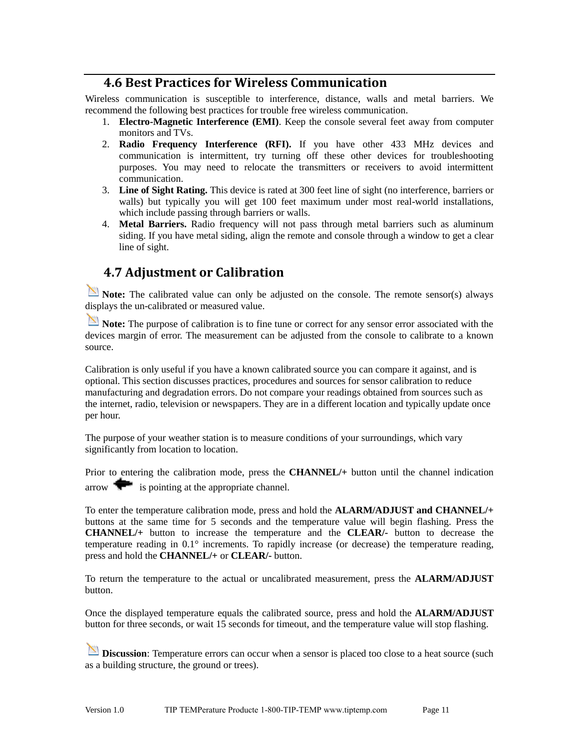#### **4.6 Best Practices for Wireless Communication**

<span id="page-10-0"></span>Wireless communication is susceptible to interference, distance, walls and metal barriers. We recommend the following best practices for trouble free wireless communication.

- 1. **Electro-Magnetic Interference (EMI)**. Keep the console several feet away from computer monitors and TVs.
- 2. **Radio Frequency Interference (RFI).** If you have other 433 MHz devices and communication is intermittent, try turning off these other devices for troubleshooting purposes. You may need to relocate the transmitters or receivers to avoid intermittent communication.
- 3. **Line of Sight Rating.** This device is rated at 300 feet line of sight (no interference, barriers or walls) but typically you will get 100 feet maximum under most real-world installations, which include passing through barriers or walls.
- 4. **Metal Barriers.** Radio frequency will not pass through metal barriers such as aluminum siding. If you have metal siding, align the remote and console through a window to get a clear line of sight.

### <span id="page-10-1"></span>**4.7 Adjustment or Calibration**

**Note:** The calibrated value can only be adjusted on the console. The remote sensor(s) always displays the un-calibrated or measured value.

**Note:** The purpose of calibration is to fine tune or correct for any sensor error associated with the devices margin of error. The measurement can be adjusted from the console to calibrate to a known source.

Calibration is only useful if you have a known calibrated source you can compare it against, and is optional. This section discusses practices, procedures and sources for sensor calibration to reduce manufacturing and degradation errors. Do not compare your readings obtained from sources such as the internet, radio, television or newspapers. They are in a different location and typically update once per hour.

The purpose of your weather station is to measure conditions of your surroundings, which vary significantly from location to location.

Prior to entering the calibration mode, press the **CHANNEL/+** button until the channel indication arrow  $\bullet$  is pointing at the appropriate channel.

To enter the temperature calibration mode, press and hold the **ALARM/ADJUST and CHANNEL/+**  buttons at the same time for 5 seconds and the temperature value will begin flashing. Press the **CHANNEL/+** button to increase the temperature and the **CLEAR/-** button to decrease the temperature reading in 0.1° increments. To rapidly increase (or decrease) the temperature reading, press and hold the **CHANNEL/+** or **CLEAR/-** button.

To return the temperature to the actual or uncalibrated measurement, press the **ALARM/ADJUST** button.

Once the displayed temperature equals the calibrated source, press and hold the **ALARM/ADJUST**  button for three seconds, or wait 15 seconds for timeout, and the temperature value will stop flashing.

**Discussion**: Temperature errors can occur when a sensor is placed too close to a heat source (such as a building structure, the ground or trees).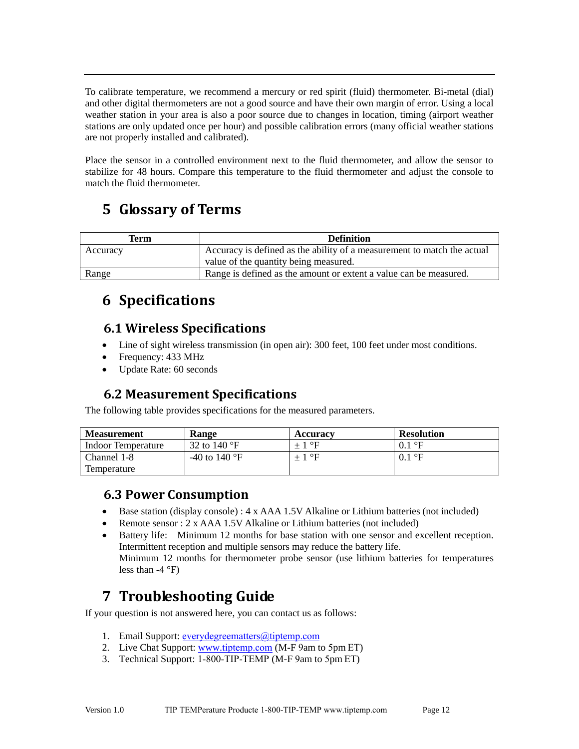To calibrate temperature, we recommend a mercury or red spirit (fluid) thermometer. Bi-metal (dial) and other digital thermometers are not a good source and have their own margin of error. Using a local weather station in your area is also a poor source due to changes in location, timing (airport weather stations are only updated once per hour) and possible calibration errors (many official weather stations are not properly installed and calibrated).

Place the sensor in a controlled environment next to the fluid thermometer, and allow the sensor to stabilize for 48 hours. Compare this temperature to the fluid thermometer and adjust the console to match the fluid thermometer.

# <span id="page-11-0"></span>**5 Glossary of Terms**

| <b>Definition</b><br>Term |                                                                         |
|---------------------------|-------------------------------------------------------------------------|
| Accuracy                  | Accuracy is defined as the ability of a measurement to match the actual |
|                           | value of the quantity being measured.                                   |
| Range                     | Range is defined as the amount or extent a value can be measured.       |

# <span id="page-11-1"></span>**6 Specifications**

## <span id="page-11-2"></span>**6.1 Wireless Specifications**

- Line of sight wireless transmission (in open air): 300 feet, 100 feet under most conditions.
- Frequency: 433 MHz
- <span id="page-11-3"></span>Update Rate: 60 seconds

## **6.2 Measurement Specifications**

The following table provides specifications for the measured parameters.

| <b>Measurement</b> | Range                          | Accuracy | <b>Resolution</b>      |
|--------------------|--------------------------------|----------|------------------------|
| Indoor Temperature | 32 to 140 $\mathrm{^{\circ}F}$ | $+1$ °F  | $0.1\ ^{\circ}$ F      |
| Channel 1-8        | -40 to 140 $^{\circ}$ F        | $+1$ °F  | $0.1\text{ }^{\circ}F$ |
| Temperature        |                                |          |                        |

### <span id="page-11-4"></span>**6.3 Power Consumption**

- Base station (display console) : 4 x AAA 1.5V Alkaline or Lithium batteries (not included)
- Remote sensor : 2 x AAA 1.5V Alkaline or Lithium batteries (not included)
- Battery life: Minimum 12 months for base station with one sensor and excellent reception. Intermittent reception and multiple sensors may reduce the battery life. Minimum 12 months for thermometer probe sensor (use lithium batteries for temperatures less than  $-4$  °F)

# <span id="page-11-5"></span>**7 Troubleshooting Guide**

If your question is not answered here, you can contact us as follows:

- 1. Email Support: [everydegreematters@tiptemp.c](mailto:support@ambientweather.com)om
- 2. Live Chat Support: www.[tiptemp.com](http://www.ambientweather.com/chat.html) (M-F 9am to 5pm ET)
- 3. Technical Support: 1-800-TIP-TEMP (M-F 9am to 5pm ET)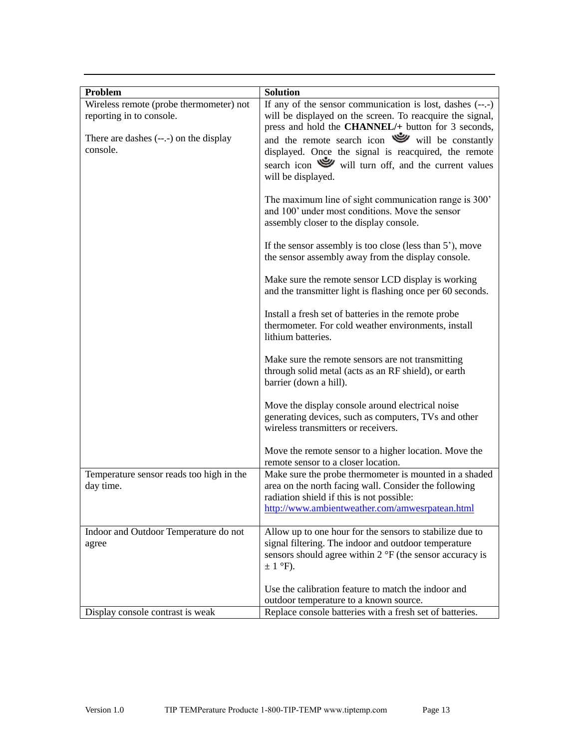| Problem                                                             | <b>Solution</b>                                                                                                                                                                                                 |
|---------------------------------------------------------------------|-----------------------------------------------------------------------------------------------------------------------------------------------------------------------------------------------------------------|
| Wireless remote (probe thermometer) not<br>reporting in to console. | If any of the sensor communication is lost, dashes $(-,-)$<br>will be displayed on the screen. To reacquire the signal,<br>press and hold the CHANNEL/+ button for 3 seconds,                                   |
| There are dashes $(-,-)$ on the display<br>console.                 | and the remote search icon will be constantly<br>displayed. Once the signal is reacquired, the remote<br>search icon will turn off, and the current values<br>will be displayed.                                |
|                                                                     | The maximum line of sight communication range is 300'<br>and 100' under most conditions. Move the sensor<br>assembly closer to the display console.                                                             |
|                                                                     | If the sensor assembly is too close (less than $5^{\prime}$ ), move<br>the sensor assembly away from the display console.                                                                                       |
|                                                                     | Make sure the remote sensor LCD display is working<br>and the transmitter light is flashing once per 60 seconds.                                                                                                |
|                                                                     | Install a fresh set of batteries in the remote probe<br>thermometer. For cold weather environments, install<br>lithium batteries.                                                                               |
|                                                                     | Make sure the remote sensors are not transmitting<br>through solid metal (acts as an RF shield), or earth<br>barrier (down a hill).                                                                             |
|                                                                     | Move the display console around electrical noise<br>generating devices, such as computers, TVs and other<br>wireless transmitters or receivers.                                                                 |
|                                                                     | Move the remote sensor to a higher location. Move the<br>remote sensor to a closer location.                                                                                                                    |
| Temperature sensor reads too high in the<br>day time.               | Make sure the probe thermometer is mounted in a shaded<br>area on the north facing wall. Consider the following<br>radiation shield if this is not possible:<br>http://www.ambientweather.com/amwesrpatean.html |
|                                                                     |                                                                                                                                                                                                                 |
| Indoor and Outdoor Temperature do not<br>agree                      | Allow up to one hour for the sensors to stabilize due to<br>signal filtering. The indoor and outdoor temperature<br>sensors should agree within 2 °F (the sensor accuracy is<br>$\pm$ 1 °F).                    |
|                                                                     | Use the calibration feature to match the indoor and                                                                                                                                                             |
|                                                                     | outdoor temperature to a known source.                                                                                                                                                                          |
| Display console contrast is weak                                    | Replace console batteries with a fresh set of batteries.                                                                                                                                                        |
|                                                                     |                                                                                                                                                                                                                 |